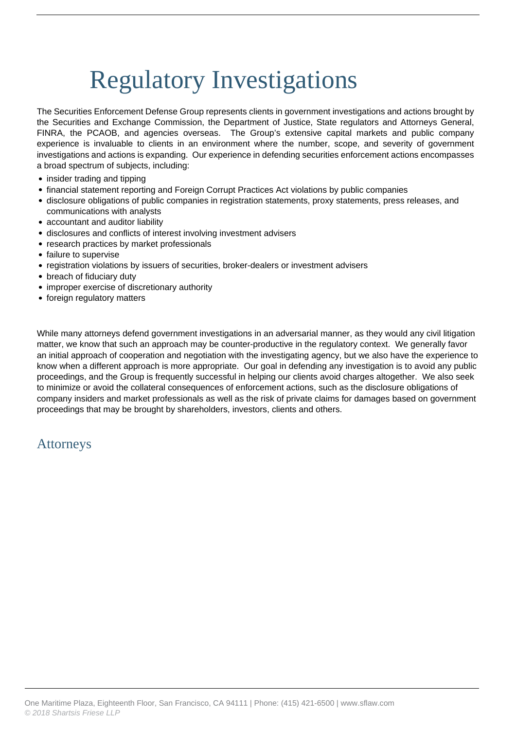## Regulatory Investigations

The Securities Enforcement Defense Group represents clients in government investigations and actions brought by the Securities and Exchange Commission, the Department of Justice, State regulators and Attorneys General, FINRA, the PCAOB, and agencies overseas. The Group's extensive capital markets and public company experience is invaluable to clients in an environment where the number, scope, and severity of government investigations and actions is expanding. Our experience in defending securities enforcement actions encompasses a broad spectrum of subjects, including:

- insider trading and tipping
- financial statement reporting and Foreign Corrupt Practices Act violations by public companies
- disclosure obligations of public companies in registration statements, proxy statements, press releases, and communications with analysts
- accountant and auditor liability
- disclosures and conflicts of interest involving investment advisers
- research practices by market professionals
- failure to supervise
- registration violations by issuers of securities, broker-dealers or investment advisers
- breach of fiduciary duty
- improper exercise of discretionary authority
- foreign regulatory matters

While many attorneys defend government investigations in an adversarial manner, as they would any civil litigation matter, we know that such an approach may be counter-productive in the regulatory context. We generally favor an initial approach of cooperation and negotiation with the investigating agency, but we also have the experience to know when a different approach is more appropriate. Our goal in defending any investigation is to avoid any public proceedings, and the Group is frequently successful in helping our clients avoid charges altogether. We also seek to minimize or avoid the collateral consequences of enforcement actions, such as the disclosure obligations of company insiders and market professionals as well as the risk of private claims for damages based on government proceedings that may be brought by shareholders, investors, clients and others.

## Attorneys